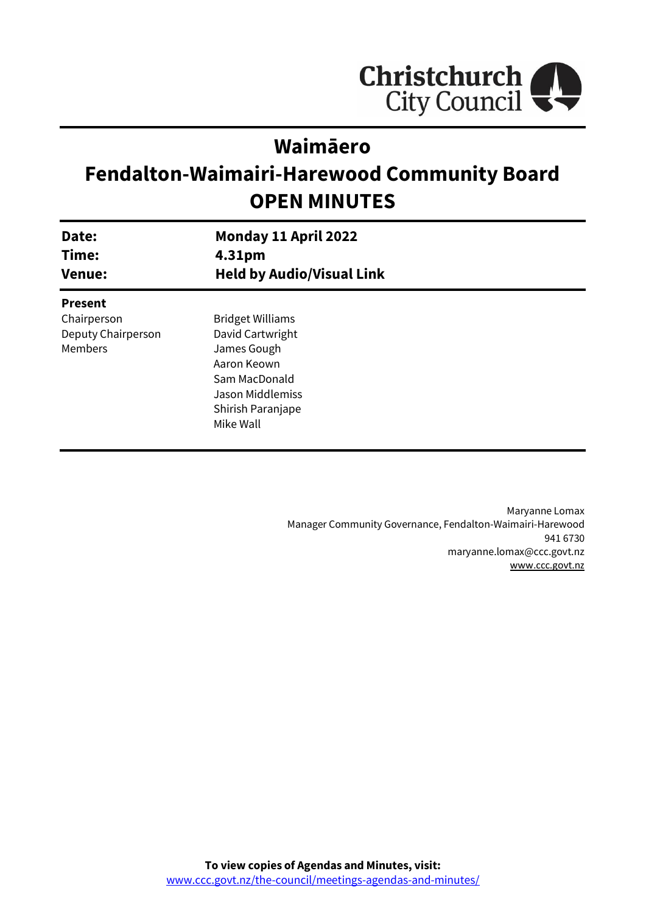

# **Waimāero**

# **Fendalton-Waimairi-Harewood Community Board OPEN MINUTES**

| Date:<br>Time:<br><b>Venue:</b> | Monday 11 April 2022<br>4.31pm<br><b>Held by Audio/Visual Link</b> |  |
|---------------------------------|--------------------------------------------------------------------|--|
| <b>Present</b>                  |                                                                    |  |
| Chairperson                     | <b>Bridget Williams</b>                                            |  |
| Deputy Chairperson              | David Cartwright                                                   |  |
| Members                         | James Gough                                                        |  |
|                                 | Aaron Keown                                                        |  |
|                                 | Sam MacDonald                                                      |  |
|                                 | Jason Middlemiss                                                   |  |
|                                 | Shirish Paranjape                                                  |  |
|                                 | Mike Wall                                                          |  |
|                                 |                                                                    |  |

Maryanne Lomax Manager Community Governance, Fendalton-Waimairi-Harewood 941 6730 maryanne.lomax@ccc.govt.nz [www.ccc.govt.nz](http://www.ccc.govt.nz/)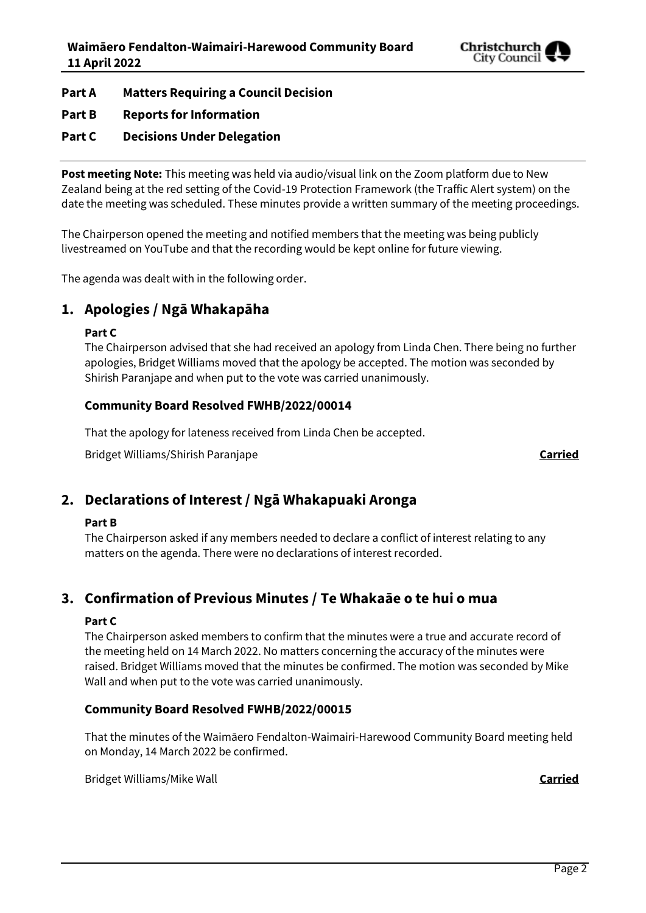

- **Part A Matters Requiring a Council Decision**
- **Part B Reports for Information**
- **Part C Decisions Under Delegation**

**Post meeting Note:** This meeting was held via audio/visual link on the Zoom platform due to New Zealand being at the red setting of the Covid-19 Protection Framework (the Traffic Alert system) on the date the meeting was scheduled. These minutes provide a written summary of the meeting proceedings.

The Chairperson opened the meeting and notified members that the meeting was being publicly livestreamed on YouTube and that the recording would be kept online for future viewing.

The agenda was dealt with in the following order.

## **1. Apologies / Ngā Whakapāha**

#### **Part C**

The Chairperson advised that she had received an apology from Linda Chen. There being no further apologies, Bridget Williams moved that the apology be accepted. The motion was seconded by Shirish Paranjape and when put to the vote was carried unanimously.

## **Community Board Resolved FWHB/2022/00014**

That the apology for lateness received from Linda Chen be accepted.

Bridget Williams/Shirish Paranjape **Carried**

## **2. Declarations of Interest / Ngā Whakapuaki Aronga**

## **Part B**

The Chairperson asked if any members needed to declare a conflict of interest relating to any matters on the agenda. There were no declarations of interest recorded.

## **3. Confirmation of Previous Minutes / Te Whakaāe o te hui o mua**

## **Part C**

The Chairperson asked members to confirm that the minutes were a true and accurate record of the meeting held on 14 March 2022. No matters concerning the accuracy of the minutes were raised. Bridget Williams moved that the minutes be confirmed. The motion was seconded by Mike Wall and when put to the vote was carried unanimously.

## **Community Board Resolved FWHB/2022/00015**

That the minutes of the Waimāero Fendalton-Waimairi-Harewood Community Board meeting held on Monday, 14 March 2022 be confirmed.

Bridget Williams/Mike Wall **Carried**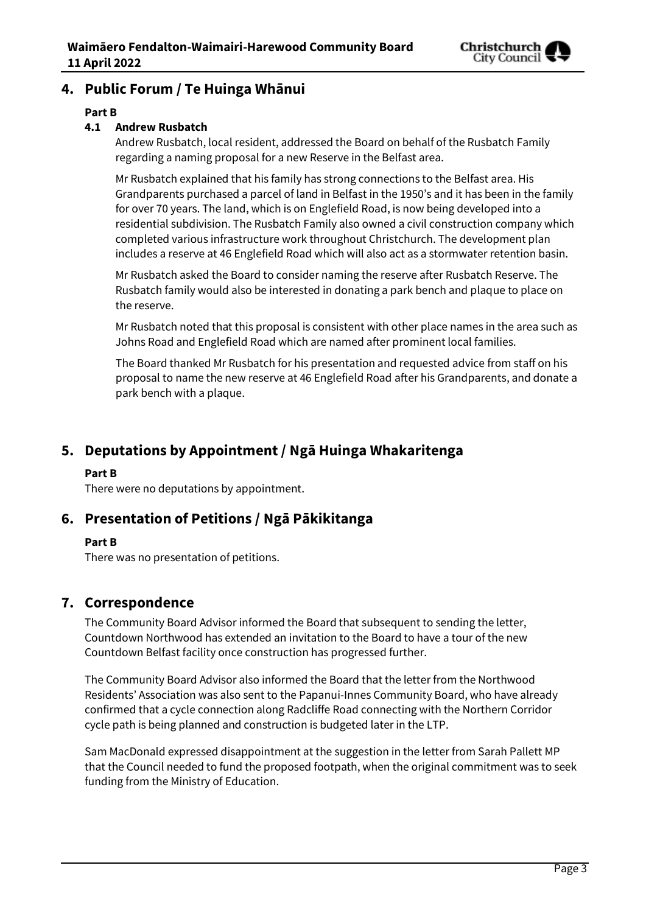

## **4. Public Forum / Te Huinga Whānui**

## **Part B**

## **4.1 Andrew Rusbatch**

Andrew Rusbatch, local resident, addressed the Board on behalf of the Rusbatch Family regarding a naming proposal for a new Reserve in the Belfast area.

Mr Rusbatch explained that his family has strong connections to the Belfast area. His Grandparents purchased a parcel of land in Belfast in the 1950's and it has been in the family for over 70 years. The land, which is on Englefield Road, is now being developed into a residential subdivision. The Rusbatch Family also owned a civil construction company which completed various infrastructure work throughout Christchurch. The development plan includes a reserve at 46 Englefield Road which will also act as a stormwater retention basin.

Mr Rusbatch asked the Board to consider naming the reserve after Rusbatch Reserve. The Rusbatch family would also be interested in donating a park bench and plaque to place on the reserve.

Mr Rusbatch noted that this proposal is consistent with other place names in the area such as Johns Road and Englefield Road which are named after prominent local families.

The Board thanked Mr Rusbatch for his presentation and requested advice from staff on his proposal to name the new reserve at 46 Englefield Road after his Grandparents, and donate a park bench with a plaque.

## **5. Deputations by Appointment / Ngā Huinga Whakaritenga**

## **Part B**

There were no deputations by appointment.

## **6. Presentation of Petitions / Ngā Pākikitanga**

## **Part B**

There was no presentation of petitions.

## **7. Correspondence**

The Community Board Advisor informed the Board that subsequent to sending the letter, Countdown Northwood has extended an invitation to the Board to have a tour of the new Countdown Belfast facility once construction has progressed further.

The Community Board Advisor also informed the Board that the letter from the Northwood Residents' Association was also sent to the Papanui-Innes Community Board, who have already confirmed that a cycle connection along Radcliffe Road connecting with the Northern Corridor cycle path is being planned and construction is budgeted later in the LTP.

Sam MacDonald expressed disappointment at the suggestion in the letter from Sarah Pallett MP that the Council needed to fund the proposed footpath, when the original commitment was to seek funding from the Ministry of Education.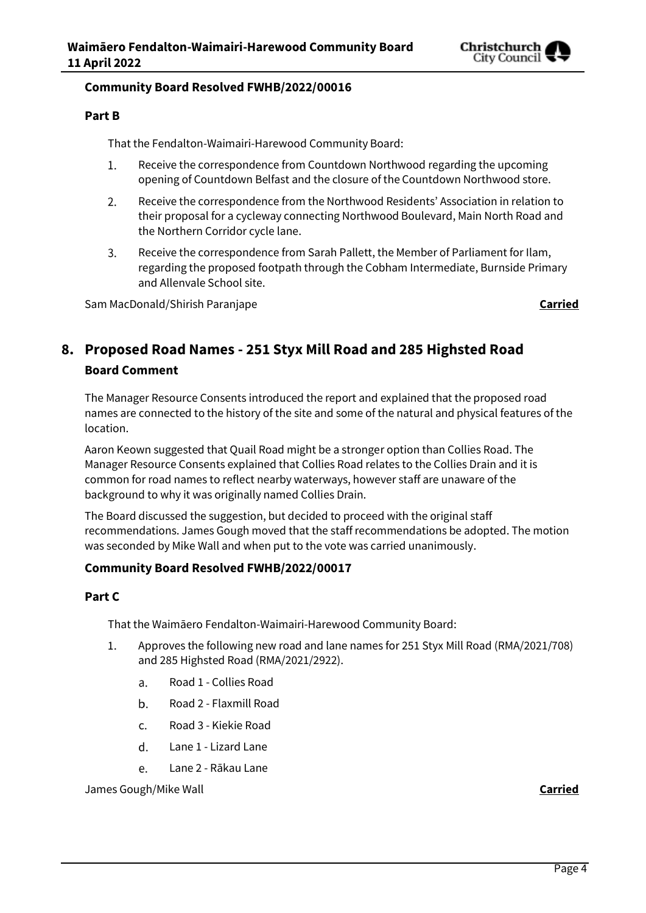

#### **Community Board Resolved FWHB/2022/00016**

#### **Part B**

That the Fendalton-Waimairi-Harewood Community Board:

- Receive the correspondence from Countdown Northwood regarding the upcoming 1. opening of Countdown Belfast and the closure of the Countdown Northwood store.
- $2.$ Receive the correspondence from the Northwood Residents' Association in relation to their proposal for a cycleway connecting Northwood Boulevard, Main North Road and the Northern Corridor cycle lane.
- 3. Receive the correspondence from Sarah Pallett, the Member of Parliament for Ilam, regarding the proposed footpath through the Cobham Intermediate, Burnside Primary and Allenvale School site.

Sam MacDonald/Shirish Paranjape **Carried**

## **8. Proposed Road Names - 251 Styx Mill Road and 285 Highsted Road**

#### **Board Comment**

The Manager Resource Consents introduced the report and explained that the proposed road names are connected to the history of the site and some of the natural and physical features of the location.

Aaron Keown suggested that Quail Road might be a stronger option than Collies Road. The Manager Resource Consents explained that Collies Road relates to the Collies Drain and it is common for road names to reflect nearby waterways, however staff are unaware of the background to why it was originally named Collies Drain.

The Board discussed the suggestion, but decided to proceed with the original staff recommendations. James Gough moved that the staff recommendations be adopted. The motion was seconded by Mike Wall and when put to the vote was carried unanimously.

## **Community Board Resolved FWHB/2022/00017**

## **Part C**

That the Waimāero Fendalton-Waimairi-Harewood Community Board:

- Approves the following new road and lane names for 251 Styx Mill Road (RMA/2021/708)  $1.$ and 285 Highsted Road (RMA/2021/2922).
	- Road 1 Collies Road  $a<sub>r</sub>$
	- $\mathbf b$ . Road 2 - Flaxmill Road
	- c. Road 3 - Kiekie Road
	- d. Lane 1 - Lizard Lane
	- Lane 2 Rākau Lane e.

James Gough/Mike Wall **Carried**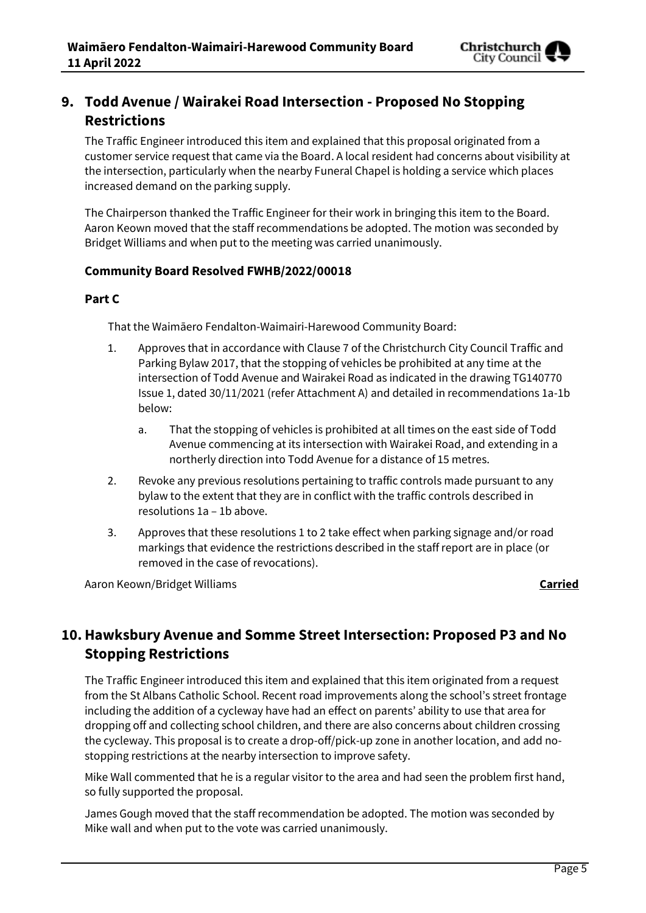

## **9. Todd Avenue / Wairakei Road Intersection - Proposed No Stopping Restrictions**

The Traffic Engineer introduced this item and explained that this proposal originated from a customer service request that came via the Board. A local resident had concerns about visibility at the intersection, particularly when the nearby Funeral Chapel is holding a service which places increased demand on the parking supply.

The Chairperson thanked the Traffic Engineer for their work in bringing this item to the Board. Aaron Keown moved that the staff recommendations be adopted. The motion was seconded by Bridget Williams and when put to the meeting was carried unanimously.

## **Community Board Resolved FWHB/2022/00018**

## **Part C**

That the Waimāero Fendalton-Waimairi-Harewood Community Board:

- 1. Approves that in accordance with Clause 7 of the Christchurch City Council Traffic and Parking Bylaw 2017, that the stopping of vehicles be prohibited at any time at the intersection of Todd Avenue and Wairakei Road as indicated in the drawing TG140770 Issue 1, dated 30/11/2021 (refer Attachment A) and detailed in recommendations 1a-1b below:
	- a. That the stopping of vehicles is prohibited at all times on the east side of Todd Avenue commencing at its intersection with Wairakei Road, and extending in a northerly direction into Todd Avenue for a distance of 15 metres.
- 2. Revoke any previous resolutions pertaining to traffic controls made pursuant to any bylaw to the extent that they are in conflict with the traffic controls described in resolutions 1a – 1b above.
- 3. Approves that these resolutions 1 to 2 take effect when parking signage and/or road markings that evidence the restrictions described in the staff report are in place (or removed in the case of revocations).

Aaron Keown/Bridget Williams **Carried**

## **10.Hawksbury Avenue and Somme Street Intersection: Proposed P3 and No Stopping Restrictions**

The Traffic Engineer introduced this item and explained that this item originated from a request from the St Albans Catholic School. Recent road improvements along the school's street frontage including the addition of a cycleway have had an effect on parents' ability to use that area for dropping off and collecting school children, and there are also concerns about children crossing the cycleway. This proposal is to create a drop-off/pick-up zone in another location, and add nostopping restrictions at the nearby intersection to improve safety.

Mike Wall commented that he is a regular visitor to the area and had seen the problem first hand, so fully supported the proposal.

James Gough moved that the staff recommendation be adopted. The motion was seconded by Mike wall and when put to the vote was carried unanimously.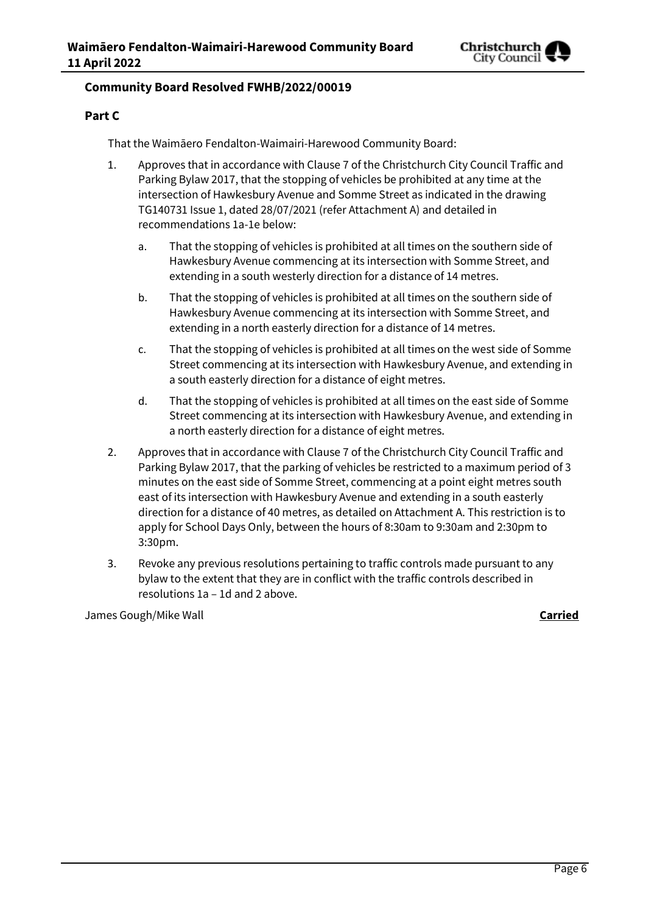

## **Community Board Resolved FWHB/2022/00019**

## **Part C**

That the Waimāero Fendalton-Waimairi-Harewood Community Board:

- 1. Approves that in accordance with Clause 7 of the Christchurch City Council Traffic and Parking Bylaw 2017, that the stopping of vehicles be prohibited at any time at the intersection of Hawkesbury Avenue and Somme Street as indicated in the drawing TG140731 Issue 1, dated 28/07/2021 (refer Attachment A) and detailed in recommendations 1a-1e below:
	- a. That the stopping of vehicles is prohibited at all times on the southern side of Hawkesbury Avenue commencing at its intersection with Somme Street, and extending in a south westerly direction for a distance of 14 metres.
	- b. That the stopping of vehicles is prohibited at all times on the southern side of Hawkesbury Avenue commencing at its intersection with Somme Street, and extending in a north easterly direction for a distance of 14 metres.
	- c. That the stopping of vehicles is prohibited at all times on the west side of Somme Street commencing at its intersection with Hawkesbury Avenue, and extending in a south easterly direction for a distance of eight metres.
	- d. That the stopping of vehicles is prohibited at all times on the east side of Somme Street commencing at its intersection with Hawkesbury Avenue, and extending in a north easterly direction for a distance of eight metres.
- 2. Approves that in accordance with Clause 7 of the Christchurch City Council Traffic and Parking Bylaw 2017, that the parking of vehicles be restricted to a maximum period of 3 minutes on the east side of Somme Street, commencing at a point eight metres south east of its intersection with Hawkesbury Avenue and extending in a south easterly direction for a distance of 40 metres, as detailed on Attachment A. This restriction is to apply for School Days Only, between the hours of 8:30am to 9:30am and 2:30pm to 3:30pm.
- 3. Revoke any previous resolutions pertaining to traffic controls made pursuant to any bylaw to the extent that they are in conflict with the traffic controls described in resolutions 1a – 1d and 2 above.

James Gough/Mike Wall **Carried**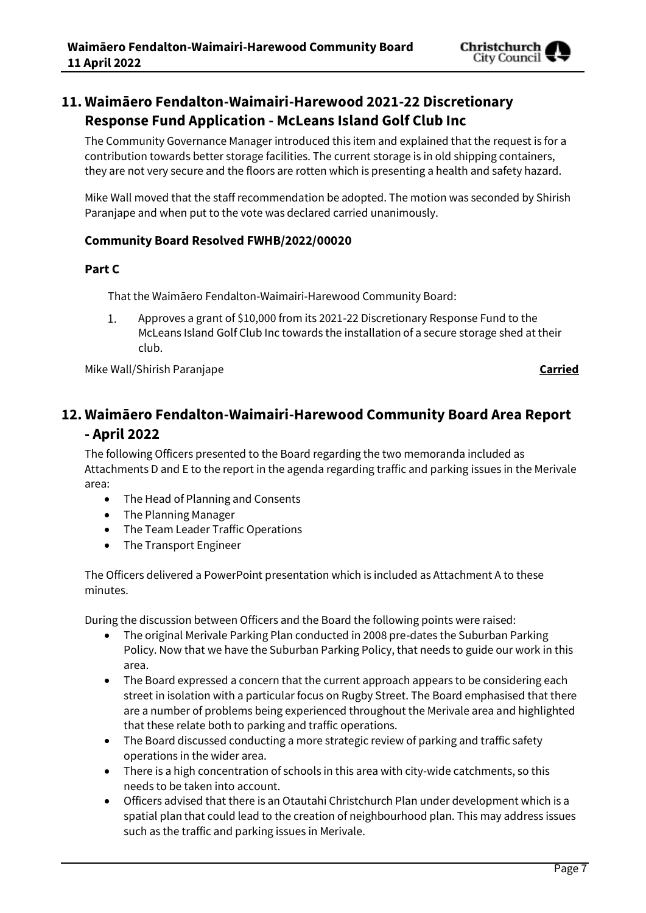

## **11. Waimāero Fendalton-Waimairi-Harewood 2021-22 Discretionary Response Fund Application - McLeans Island Golf Club Inc**

The Community Governance Manager introduced this item and explained that the request is for a contribution towards better storage facilities. The current storage is in old shipping containers, they are not very secure and the floors are rotten which is presenting a health and safety hazard.

Mike Wall moved that the staff recommendation be adopted. The motion was seconded by Shirish Paranjape and when put to the vote was declared carried unanimously.

## **Community Board Resolved FWHB/2022/00020**

## **Part C**

That the Waimāero Fendalton-Waimairi-Harewood Community Board:

 $1.$ Approves a grant of \$10,000 from its 2021-22 Discretionary Response Fund to the McLeans Island Golf Club Inc towards the installation of a secure storage shed at their club.

Mike Wall/Shirish Paranjape **Carried**

## **12. Waimāero Fendalton-Waimairi-Harewood Community Board Area Report - April 2022**

The following Officers presented to the Board regarding the two memoranda included as Attachments D and E to the report in the agenda regarding traffic and parking issues in the Merivale area:

- The Head of Planning and Consents
- The Planning Manager
- The Team Leader Traffic Operations
- The Transport Engineer

The Officers delivered a PowerPoint presentation which is included as Attachment A to these minutes.

During the discussion between Officers and the Board the following points were raised:

- The original Merivale Parking Plan conducted in 2008 pre-dates the Suburban Parking Policy. Now that we have the Suburban Parking Policy, that needs to guide our work in this area.
- The Board expressed a concern that the current approach appears to be considering each street in isolation with a particular focus on Rugby Street. The Board emphasised that there are a number of problems being experienced throughout the Merivale area and highlighted that these relate both to parking and traffic operations.
- The Board discussed conducting a more strategic review of parking and traffic safety operations in the wider area.
- There is a high concentration of schools in this area with city-wide catchments, so this needs to be taken into account.
- Officers advised that there is an Otautahi Christchurch Plan under development which is a spatial plan that could lead to the creation of neighbourhood plan. This may address issues such as the traffic and parking issues in Merivale.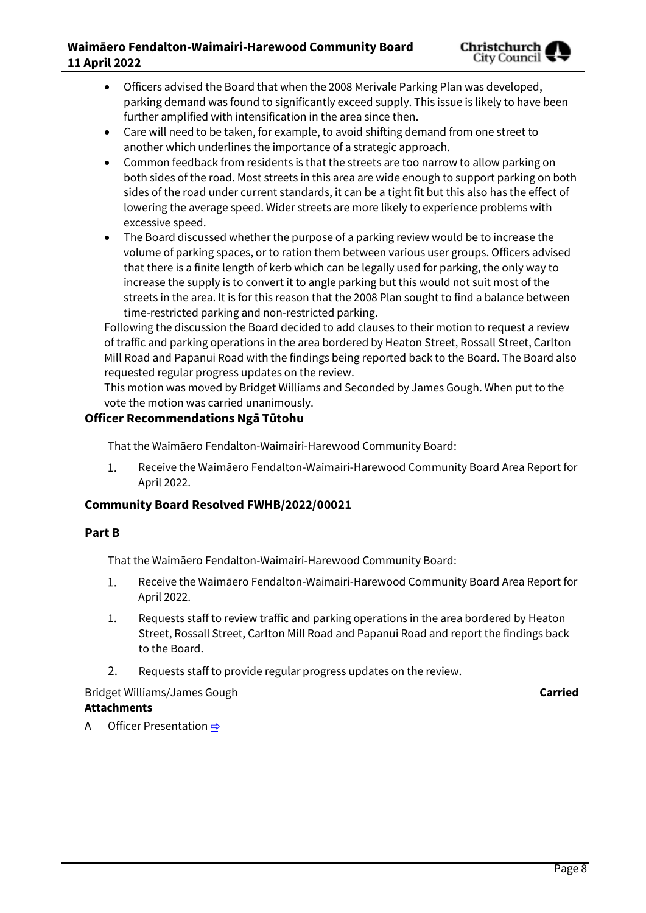## **Waimāero Fendalton-Waimairi-Harewood Community Board 11 April 2022**



- Officers advised the Board that when the 2008 Merivale Parking Plan was developed, parking demand was found to significantly exceed supply. This issue is likely to have been further amplified with intensification in the area since then.
- Care will need to be taken, for example, to avoid shifting demand from one street to another which underlines the importance of a strategic approach.
- Common feedback from residents is that the streets are too narrow to allow parking on both sides of the road. Most streets in this area are wide enough to support parking on both sides of the road under current standards, it can be a tight fit but this also has the effect of lowering the average speed. Wider streets are more likely to experience problems with excessive speed.
- The Board discussed whether the purpose of a parking review would be to increase the volume of parking spaces, or to ration them between various user groups. Officers advised that there is a finite length of kerb which can be legally used for parking, the only way to increase the supply is to convert it to angle parking but this would not suit most of the streets in the area. It is for this reason that the 2008 Plan sought to find a balance between time-restricted parking and non-restricted parking.

Following the discussion the Board decided to add clauses to their motion to request a review of traffic and parking operations in the area bordered by Heaton Street, Rossall Street, Carlton Mill Road and Papanui Road with the findings being reported back to the Board. The Board also requested regular progress updates on the review.

This motion was moved by Bridget Williams and Seconded by James Gough. When put to the vote the motion was carried unanimously.

## **Officer Recommendations Ngā Tūtohu**

That the Waimāero Fendalton-Waimairi-Harewood Community Board:

1. Receive the Waimāero Fendalton-Waimairi-Harewood Community Board Area Report for April 2022.

## **Community Board Resolved FWHB/2022/00021**

## **Part B**

That the Waimāero Fendalton-Waimairi-Harewood Community Board:

- 1. Receive the Waimāero Fendalton-Waimairi-Harewood Community Board Area Report for April 2022.
- 1. Requests staff to review traffic and parking operations in the area bordered by Heaton Street, Rossall Street, Carlton Mill Road and Papanui Road and report the findings back to the Board.
- 2. Requests staff to provide regular progress updates on the review.

## Bridget Williams/James Gough **Carried Attachments**

A Officer Presentation  $\Rightarrow$